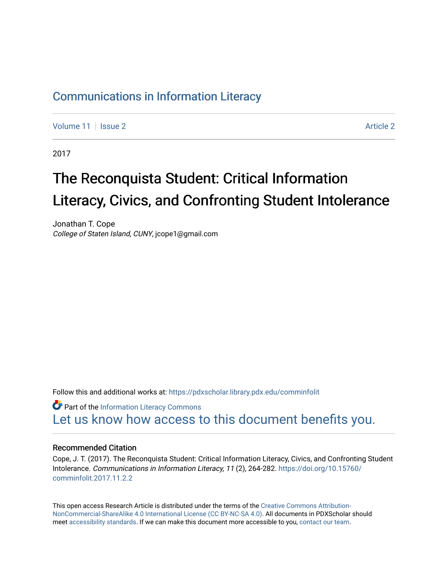## [Communications in Information Literacy](https://pdxscholar.library.pdx.edu/comminfolit)

[Volume 11](https://pdxscholar.library.pdx.edu/comminfolit/vol11) | [Issue 2](https://pdxscholar.library.pdx.edu/comminfolit/vol11/iss2) [Article 2](https://pdxscholar.library.pdx.edu/comminfolit/vol11/iss2/2) Article 2 Article 2 Article 2 Article 2 Article 2 Article 2 Article 2 Article 2

2017

# The Reconquista Student: Critical Information Literacy, Civics, and Confronting Student Intolerance

Jonathan T. Cope College of Staten Island, CUNY, jcope1@gmail.com

Follow this and additional works at: [https://pdxscholar.library.pdx.edu/comminfolit](https://pdxscholar.library.pdx.edu/comminfolit?utm_source=pdxscholar.library.pdx.edu%2Fcomminfolit%2Fvol11%2Fiss2%2F2&utm_medium=PDF&utm_campaign=PDFCoverPages) 

**Part of the [Information Literacy Commons](http://network.bepress.com/hgg/discipline/1243?utm_source=pdxscholar.library.pdx.edu%2Fcomminfolit%2Fvol11%2Fiss2%2F2&utm_medium=PDF&utm_campaign=PDFCoverPages)** [Let us know how access to this document benefits you.](http://library.pdx.edu/services/pdxscholar-services/pdxscholar-feedback/) 

#### Recommended Citation

Cope, J. T. (2017). The Reconquista Student: Critical Information Literacy, Civics, and Confronting Student Intolerance. Communications in Information Literacy, 11 (2), 264-282. [https://doi.org/10.15760/](https://doi.org/10.15760/comminfolit.2017.11.2.2) [comminfolit.2017.11.2.2](https://doi.org/10.15760/comminfolit.2017.11.2.2)

This open access Research Article is distributed under the terms of the [Creative Commons Attribution-](https://creativecommons.org/licenses/by-nc-sa/4.0/)[NonCommercial-ShareAlike 4.0 International License \(CC BY-NC-SA 4.0\)](https://creativecommons.org/licenses/by-nc-sa/4.0/). All documents in PDXScholar should meet [accessibility standards](https://pdxscholar.library.pdx.edu/accessibility.html). If we can make this document more accessible to you, [contact our team.](mailto:pdxscholar@pdx.edu)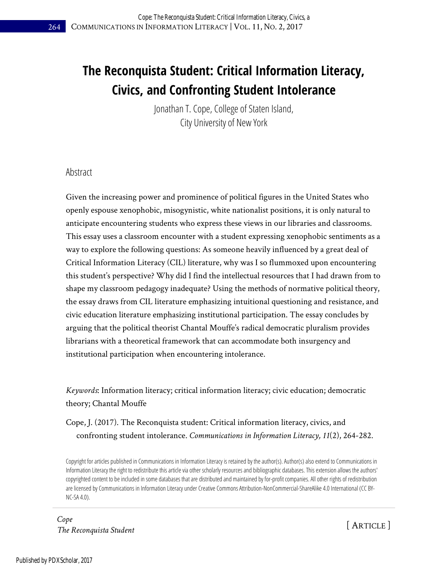# **The Reconquista Student: Critical Information Literacy, Civics, and Confronting Student Intolerance**

Jonathan T. Cope, College of Staten Island, City University of New York

#### Abstract

Given the increasing power and prominence of political figures in the United States who openly espouse xenophobic, misogynistic, white nationalist positions, it is only natural to anticipate encountering students who express these views in our libraries and classrooms. This essay uses a classroom encounter with a student expressing xenophobic sentiments as a way to explore the following questions: As someone heavily influenced by a great deal of Critical Information Literacy (CIL) literature, why was I so flummoxed upon encountering this student's perspective? Why did I find the intellectual resources that I had drawn from to shape my classroom pedagogy inadequate? Using the methods of normative political theory, the essay draws from CIL literature emphasizing intuitional questioning and resistance, and civic education literature emphasizing institutional participation. The essay concludes by arguing that the political theorist Chantal Mouffe's radical democratic pluralism provides librarians with a theoretical framework that can accommodate both insurgency and institutional participation when encountering intolerance.

*Keywords*: Information literacy; critical information literacy; civic education; democratic theory; Chantal Mouffe

Cope, J. (2017). The Reconquista student: Critical information literacy, civics, and confronting student intolerance. *Communications in Information Literacy, 11*(2), 264-282.

Copyright for articles published in Communications in Information Literacy is retained by the author(s). Author(s) also extend to Communications in Information Literacy the right to redistribute this article via other scholarly resources and bibliographic databases. This extension allows the authors' copyrighted content to be included in some databases that are distributed and maintained by for-profit companies. All other rights of redistribution are licensed by Communications in Information Literacy under Creative Commons Attribution-NonCommercial-ShareAlike 4.0 International (CC BY-NC-SA 4.0).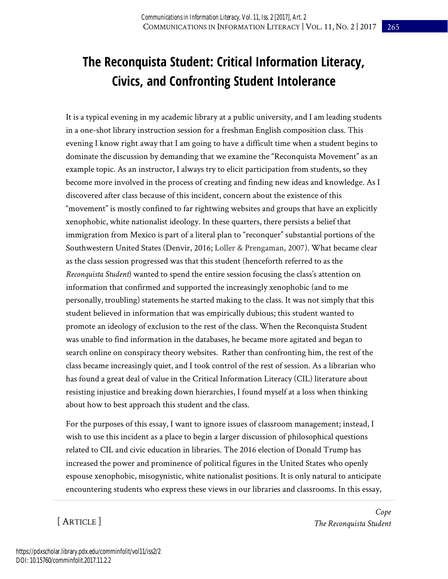# **The Reconquista Student: Critical Information Literacy, Civics, and Confronting Student Intolerance**

It is a typical evening in my academic library at a public university, and I am leading students in a one-shot library instruction session for a freshman English composition class. This evening I know right away that I am going to have a difficult time when a student begins to dominate the discussion by demanding that we examine the "Reconquista Movement" as an example topic. As an instructor, I always try to elicit participation from students, so they become more involved in the process of creating and finding new ideas and knowledge. As I discovered after class because of this incident, concern about the existence of this "movement" is mostly confined to far rightwing websites and groups that have an explicitly xenophobic, white nationalist ideology. In these quarters, there persists a belief that immigration from Mexico is part of a literal plan to "reconquer" substantial portions of the Southwestern United States (Denvir, 2016; Loller & Prengaman, 2007). What became clear as the class session progressed was that this student (henceforth referred to as the *Reconquista Student*) wanted to spend the entire session focusing the class's attention on information that confirmed and supported the increasingly xenophobic (and to me personally, troubling) statements he started making to the class. It was not simply that this student believed in information that was empirically dubious; this student wanted to promote an ideology of exclusion to the rest of the class. When the Reconquista Student was unable to find information in the databases, he became more agitated and began to search online on conspiracy theory websites. Rather than confronting him, the rest of the class became increasingly quiet, and I took control of the rest of session. As a librarian who has found a great deal of value in the Critical Information Literacy (CIL) literature about resisting injustice and breaking down hierarchies, I found myself at a loss when thinking about how to best approach this student and the class.

For the purposes of this essay, I want to ignore issues of classroom management; instead, I wish to use this incident as a place to begin a larger discussion of philosophical questions related to CIL and civic education in libraries. The 2016 election of Donald Trump has increased the power and prominence of political figures in the United States who openly espouse xenophobic, misogynistic, white nationalist positions. It is only natural to anticipate encountering students who express these views in our libraries and classrooms. In this essay,

[ ARTICLE ]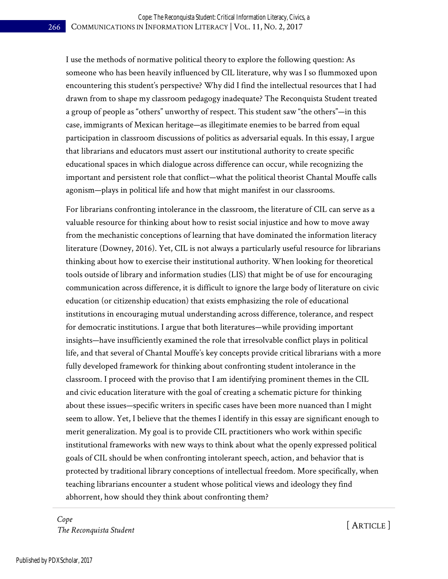I use the methods of normative political theory to explore the following question: As someone who has been heavily influenced by CIL literature, why was I so flummoxed upon encountering this student's perspective? Why did I find the intellectual resources that I had drawn from to shape my classroom pedagogy inadequate? The Reconquista Student treated a group of people as "others" unworthy of respect. This student saw "the others"—in this case, immigrants of Mexican heritage—as illegitimate enemies to be barred from equal participation in classroom discussions of politics as adversarial equals. In this essay, I argue that librarians and educators must assert our institutional authority to create specific educational spaces in which dialogue across difference can occur, while recognizing the important and persistent role that conflict—what the political theorist Chantal Mouffe calls agonism—plays in political life and how that might manifest in our classrooms.

For librarians confronting intolerance in the classroom, the literature of CIL can serve as a valuable resource for thinking about how to resist social injustice and how to move away from the mechanistic conceptions of learning that have dominated the information literacy literature (Downey, 2016). Yet, CIL is not always a particularly useful resource for librarians thinking about how to exercise their institutional authority. When looking for theoretical tools outside of library and information studies (LIS) that might be of use for encouraging communication across difference, it is difficult to ignore the large body of literature on civic education (or citizenship education) that exists emphasizing the role of educational institutions in encouraging mutual understanding across difference, tolerance, and respect for democratic institutions. I argue that both literatures—while providing important insights—have insufficiently examined the role that irresolvable conflict plays in political life, and that several of Chantal Mouffe's key concepts provide critical librarians with a more fully developed framework for thinking about confronting student intolerance in the classroom. I proceed with the proviso that I am identifying prominent themes in the CIL and civic education literature with the goal of creating a schematic picture for thinking about these issues—specific writers in specific cases have been more nuanced than I might seem to allow. Yet, I believe that the themes I identify in this essay are significant enough to merit generalization. My goal is to provide CIL practitioners who work within specific institutional frameworks with new ways to think about what the openly expressed political goals of CIL should be when confronting intolerant speech, action, and behavior that is protected by traditional library conceptions of intellectual freedom. More specifically, when teaching librarians encounter a student whose political views and ideology they find abhorrent, how should they think about confronting them?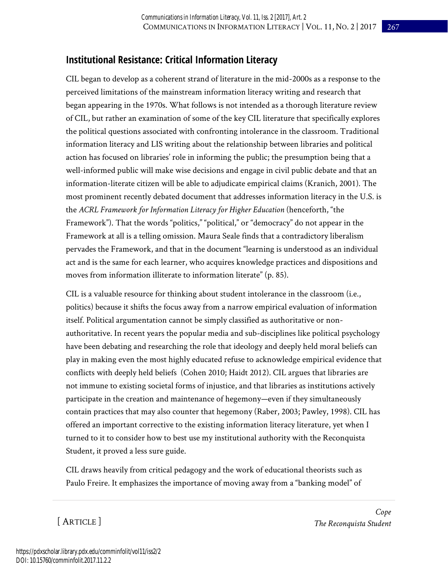### **Institutional Resistance: Critical Information Literacy**

CIL began to develop as a coherent strand of literature in the mid-2000s as a response to the perceived limitations of the mainstream information literacy writing and research that began appearing in the 1970s. What follows is not intended as a thorough literature review of CIL, but rather an examination of some of the key CIL literature that specifically explores the political questions associated with confronting intolerance in the classroom. Traditional information literacy and LIS writing about the relationship between libraries and political action has focused on libraries' role in informing the public; the presumption being that a well-informed public will make wise decisions and engage in civil public debate and that an information-literate citizen will be able to adjudicate empirical claims (Kranich, 2001). The most prominent recently debated document that addresses information literacy in the U.S. is the *ACRL Framework for Information Literacy for Higher Education* (henceforth, "the Framework"). That the words "politics," "political," or "democracy" do not appear in the Framework at all is a telling omission. Maura Seale finds that a contradictory liberalism pervades the Framework, and that in the document "learning is understood as an individual act and is the same for each learner, who acquires knowledge practices and dispositions and moves from information illiterate to information literate" (p. 85).

CIL is a valuable resource for thinking about student intolerance in the classroom (i.e., politics) because it shifts the focus away from a narrow empirical evaluation of information itself. Political argumentation cannot be simply classified as authoritative or nonauthoritative. In recent years the popular media and sub-disciplines like political psychology have been debating and researching the role that ideology and deeply held moral beliefs can play in making even the most highly educated refuse to acknowledge empirical evidence that conflicts with deeply held beliefs (Cohen 2010; Haidt 2012). CIL argues that libraries are not immune to existing societal forms of injustice, and that libraries as institutions actively participate in the creation and maintenance of hegemony—even if they simultaneously contain practices that may also counter that hegemony (Raber, 2003; Pawley, 1998). CIL has offered an important corrective to the existing information literacy literature, yet when I turned to it to consider how to best use my institutional authority with the Reconquista Student, it proved a less sure guide.

CIL draws heavily from critical pedagogy and the work of educational theorists such as Paulo Freire. It emphasizes the importance of moving away from a "banking model" of

[ ARTICLE ]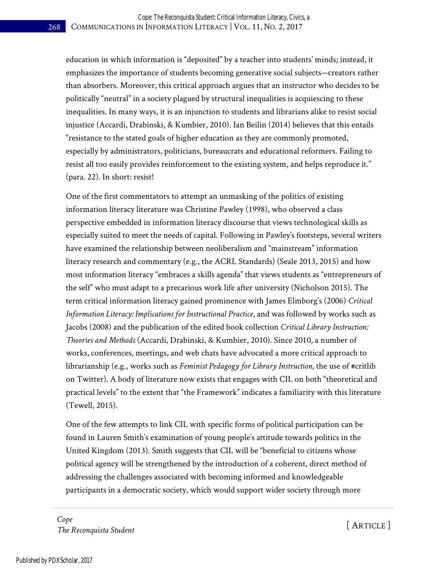education in which information is "deposited" by a teacher into students' minds; instead, it emphasizes the importance of students becoming generative social subjects—creators rather than absorbers. Moreover, this critical approach argues that an instructor who decides to be politically "neutral" in a society plagued by structural inequalities is acquiescing to these inequalities. In many ways, it is an injunction to students and librarians alike to resist social injustice (Accardi, Drabinski, & Kumbier, 2010). Ian Beilin (2014) believes that this entails "resistance to the stated goals of higher education as they are commonly promoted, especially by administrators, politicians, bureaucrats and educational reformers. Failing to resist all too easily provides reinforcement to the existing system, and helps reproduce it." (para. 22). In short: resist!

One of the first commentators to attempt an unmasking of the politics of existing information literacy literature was Christine Pawley (1998), who observed a class perspective embedded in information literacy discourse that views technological skills as especially suited to meet the needs of capital. Following in Pawley's footsteps, several writers have examined the relationship between neoliberalism and "mainstream" information literacy research and commentary (e.g., the ACRL Standards) (Seale 2013, 2015) and how most information literacy "embraces a skills agenda" that views students as "entrepreneurs of the self" who must adapt to a precarious work life after university (Nicholson 2015). The term critical information literacy gained prominence with James Elmborg's (2006) *Critical Information Literacy: Implications for Instructional Practice*, and was followed by works such as Jacobs (2008) and the publication of the edited book collection *Critical Library Instruction: Theories and Methods* (Accardi, Drabinski, & Kumbier, 2010). Since 2010, a number of works, conferences, meetings, and web chats have advocated a more critical approach to librarianship (e.g., works such as *Feminist Pedagogy for Library Instruction,* the use of #critlib on Twitter). A body of literature now exists that engages with CIL on both "theoretical and practical levels" to the extent that "the Framework" indicates a familiarity with this literature (Tewell, 2015).

One of the few attempts to link CIL with specific forms of political participation can be found in Lauren Smith's examination of young people's attitude towards politics in the United Kingdom (2013). Smith suggests that CIL will be "beneficial to citizens whose political agency will be strengthened by the introduction of a coherent, direct method of addressing the challenges associated with becoming informed and knowledgeable participants in a democratic society, which would support wider society through more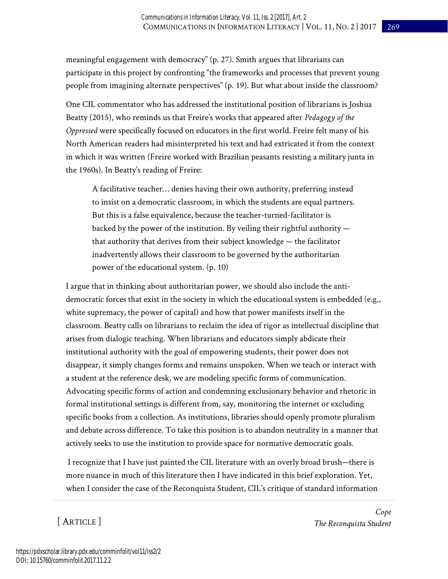meaningful engagement with democracy" (p. 27). Smith argues that librarians can participate in this project by confronting "the frameworks and processes that prevent young people from imagining alternate perspectives" (p. 19). But what about inside the classroom?

One CIL commentator who has addressed the institutional position of librarians is Joshua Beatty (2015), who reminds us that Freire's works that appeared after *Pedagogy of the Oppressed* were specifically focused on educators in the first world. Freire felt many of his North American readers had misinterpreted his text and had extricated it from the context in which it was written (Freire worked with Brazilian peasants resisting a military junta in the 1960s). In Beatty's reading of Freire:

A facilitative teacher… denies having their own authority, preferring instead to insist on a democratic classroom, in which the students are equal partners. But this is a false equivalence, because the teacher-turned-facilitator is backed by the power of the institution. By veiling their rightful authority that authority that derives from their subject knowledge — the facilitator inadvertently allows their classroom to be governed by the authoritarian power of the educational system. (p. 10)

I argue that in thinking about authoritarian power, we should also include the antidemocratic forces that exist in the society in which the educational system is embedded (e.g., white supremacy, the power of capital) and how that power manifests itself in the classroom. Beatty calls on librarians to reclaim the idea of rigor as intellectual discipline that arises from dialogic teaching. When librarians and educators simply abdicate their institutional authority with the goal of empowering students, their power does not disappear, it simply changes forms and remains unspoken. When we teach or interact with a student at the reference desk, we are modeling specific forms of communication. Advocating specific forms of action and condemning exclusionary behavior and rhetoric in formal institutional settings is different from, say, monitoring the internet or excluding specific books from a collection. As institutions, libraries should openly promote pluralism and debate across difference. To take this position is to abandon neutrality in a manner that actively seeks to use the institution to provide space for normative democratic goals.

 I recognize that I have just painted the CIL literature with an overly broad brush—there is more nuance in much of this literature then I have indicated in this brief exploration. Yet, when I consider the case of the Reconquista Student, CIL's critique of standard information

[ ARTICLE ]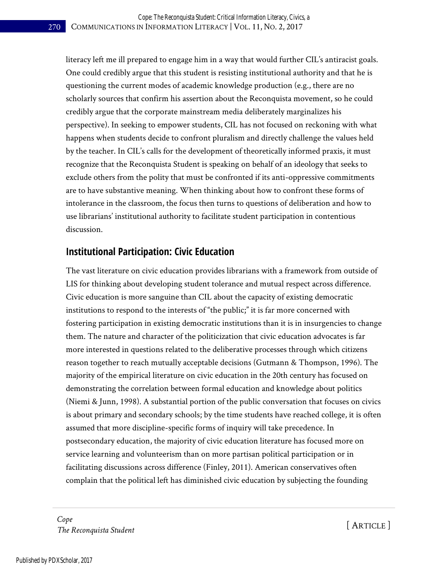literacy left me ill prepared to engage him in a way that would further CIL's antiracist goals. One could credibly argue that this student is resisting institutional authority and that he is questioning the current modes of academic knowledge production (e.g., there are no scholarly sources that confirm his assertion about the Reconquista movement, so he could credibly argue that the corporate mainstream media deliberately marginalizes his perspective). In seeking to empower students, CIL has not focused on reckoning with what happens when students decide to confront pluralism and directly challenge the values held by the teacher. In CIL's calls for the development of theoretically informed praxis, it must recognize that the Reconquista Student is speaking on behalf of an ideology that seeks to exclude others from the polity that must be confronted if its anti-oppressive commitments are to have substantive meaning. When thinking about how to confront these forms of intolerance in the classroom, the focus then turns to questions of deliberation and how to use librarians' institutional authority to facilitate student participation in contentious discussion.

#### **Institutional Participation: Civic Education**

The vast literature on civic education provides librarians with a framework from outside of LIS for thinking about developing student tolerance and mutual respect across difference. Civic education is more sanguine than CIL about the capacity of existing democratic institutions to respond to the interests of "the public;" it is far more concerned with fostering participation in existing democratic institutions than it is in insurgencies to change them. The nature and character of the politicization that civic education advocates is far more interested in questions related to the deliberative processes through which citizens reason together to reach mutually acceptable decisions (Gutmann & Thompson, 1996). The majority of the empirical literature on civic education in the 20th century has focused on demonstrating the correlation between formal education and knowledge about politics (Niemi & Junn, 1998). A substantial portion of the public conversation that focuses on civics is about primary and secondary schools; by the time students have reached college, it is often assumed that more discipline-specific forms of inquiry will take precedence. In postsecondary education, the majority of civic education literature has focused more on service learning and volunteerism than on more partisan political participation or in facilitating discussions across difference (Finley, 2011). American conservatives often complain that the political left has diminished civic education by subjecting the founding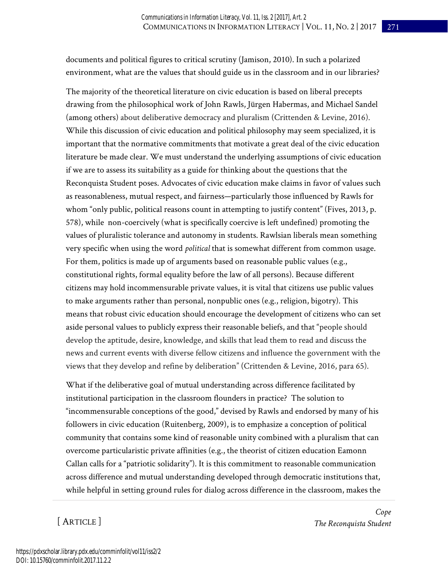documents and political figures to critical scrutiny (Jamison, 2010). In such a polarized environment, what are the values that should guide us in the classroom and in our libraries?

The majority of the theoretical literature on civic education is based on liberal precepts drawing from the philosophical work of John Rawls, Jürgen Habermas, and Michael Sandel (among others) about deliberative democracy and pluralism (Crittenden & Levine, 2016). While this discussion of civic education and political philosophy may seem specialized, it is important that the normative commitments that motivate a great deal of the civic education literature be made clear. We must understand the underlying assumptions of civic education if we are to assess its suitability as a guide for thinking about the questions that the Reconquista Student poses. Advocates of civic education make claims in favor of values such as reasonableness, mutual respect, and fairness—particularly those influenced by Rawls for whom "only public, political reasons count in attempting to justify content" (Fives, 2013, p. 578), while non-coercively (what is specifically coercive is left undefined) promoting the values of pluralistic tolerance and autonomy in students. Rawlsian liberals mean something very specific when using the word *political* that is somewhat different from common usage. For them, politics is made up of arguments based on reasonable public values (e.g., constitutional rights, formal equality before the law of all persons). Because different citizens may hold incommensurable private values, it is vital that citizens use public values to make arguments rather than personal, nonpublic ones (e.g., religion, bigotry). This means that robust civic education should encourage the development of citizens who can set aside personal values to publicly express their reasonable beliefs, and that "people should develop the aptitude, desire, knowledge, and skills that lead them to read and discuss the news and current events with diverse fellow citizens and influence the government with the views that they develop and refine by deliberation" (Crittenden & Levine, 2016, para 65).

What if the deliberative goal of mutual understanding across difference facilitated by institutional participation in the classroom flounders in practice? The solution to "incommensurable conceptions of the good," devised by Rawls and endorsed by many of his followers in civic education (Ruitenberg, 2009), is to emphasize a conception of political community that contains some kind of reasonable unity combined with a pluralism that can overcome particularistic private affinities (e.g., the theorist of citizen education Eamonn Callan calls for a "patriotic solidarity"). It is this commitment to reasonable communication across difference and mutual understanding developed through democratic institutions that, while helpful in setting ground rules for dialog across difference in the classroom, makes the

[ ARTICLE ]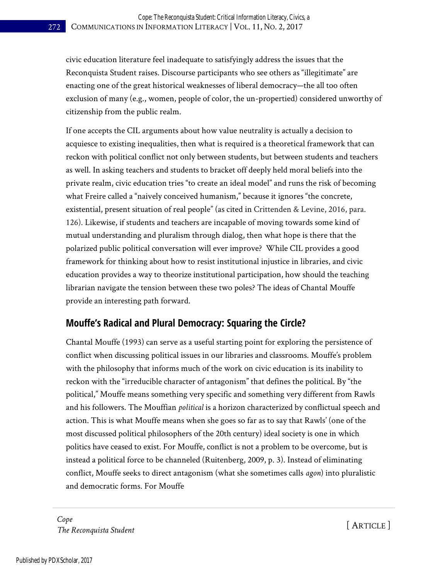civic education literature feel inadequate to satisfyingly address the issues that the Reconquista Student raises. Discourse participants who see others as "illegitimate" are enacting one of the great historical weaknesses of liberal democracy—the all too often exclusion of many (e.g., women, people of color, the un-propertied) considered unworthy of citizenship from the public realm.

If one accepts the CIL arguments about how value neutrality is actually a decision to acquiesce to existing inequalities, then what is required is a theoretical framework that can reckon with political conflict not only between students, but between students and teachers as well. In asking teachers and students to bracket off deeply held moral beliefs into the private realm, civic education tries "to create an ideal model" and runs the risk of becoming what Freire called a "naively conceived humanism," because it ignores "the concrete, existential, present situation of real people" (as cited in Crittenden & Levine, 2016, para. 126). Likewise, if students and teachers are incapable of moving towards some kind of mutual understanding and pluralism through dialog, then what hope is there that the polarized public political conversation will ever improve? While CIL provides a good framework for thinking about how to resist institutional injustice in libraries, and civic education provides a way to theorize institutional participation, how should the teaching librarian navigate the tension between these two poles? The ideas of Chantal Mouffe provide an interesting path forward.

## **Mouffe's Radical and Plural Democracy: Squaring the Circle?**

Chantal Mouffe (1993) can serve as a useful starting point for exploring the persistence of conflict when discussing political issues in our libraries and classrooms. Mouffe's problem with the philosophy that informs much of the work on civic education is its inability to reckon with the "irreducible character of antagonism" that defines the political. By "the political," Mouffe means something very specific and something very different from Rawls and his followers. The Mouffian *political* is a horizon characterized by conflictual speech and action. This is what Mouffe means when she goes so far as to say that Rawls' (one of the most discussed political philosophers of the 20th century) ideal society is one in which politics have ceased to exist. For Mouffe, conflict is not a problem to be overcome, but is instead a political force to be channeled (Ruitenberg, 2009, p. 3). Instead of eliminating conflict, Mouffe seeks to direct antagonism (what she sometimes calls *agon*) into pluralistic and democratic forms. For Mouffe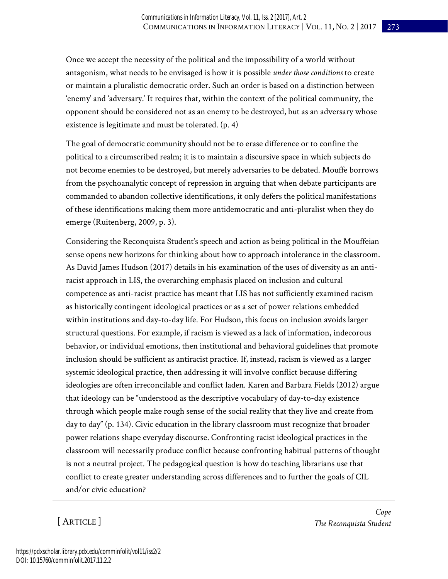Once we accept the necessity of the political and the impossibility of a world without antagonism, what needs to be envisaged is how it is possible *under those conditions* to create or maintain a pluralistic democratic order. Such an order is based on a distinction between 'enemy' and 'adversary.' It requires that, within the context of the political community, the opponent should be considered not as an enemy to be destroyed, but as an adversary whose existence is legitimate and must be tolerated. (p. 4)

The goal of democratic community should not be to erase difference or to confine the political to a circumscribed realm; it is to maintain a discursive space in which subjects do not become enemies to be destroyed, but merely adversaries to be debated. Mouffe borrows from the psychoanalytic concept of repression in arguing that when debate participants are commanded to abandon collective identifications, it only defers the political manifestations of these identifications making them more antidemocratic and anti-pluralist when they do emerge (Ruitenberg, 2009, p. 3).

Considering the Reconquista Student's speech and action as being political in the Mouffeian sense opens new horizons for thinking about how to approach intolerance in the classroom. As David James Hudson (2017) details in his examination of the uses of diversity as an antiracist approach in LIS, the overarching emphasis placed on inclusion and cultural competence as anti-racist practice has meant that LIS has not sufficiently examined racism as historically contingent ideological practices or as a set of power relations embedded within institutions and day-to-day life. For Hudson, this focus on inclusion avoids larger structural questions. For example, if racism is viewed as a lack of information, indecorous behavior, or individual emotions, then institutional and behavioral guidelines that promote inclusion should be sufficient as antiracist practice. If, instead, racism is viewed as a larger systemic ideological practice, then addressing it will involve conflict because differing ideologies are often irreconcilable and conflict laden. Karen and Barbara Fields (2012) argue that ideology can be "understood as the descriptive vocabulary of day-to-day existence through which people make rough sense of the social reality that they live and create from day to day" (p. 134). Civic education in the library classroom must recognize that broader power relations shape everyday discourse. Confronting racist ideological practices in the classroom will necessarily produce conflict because confronting habitual patterns of thought is not a neutral project. The pedagogical question is how do teaching librarians use that conflict to create greater understanding across differences and to further the goals of CIL and/or civic education?

[ ARTICLE ]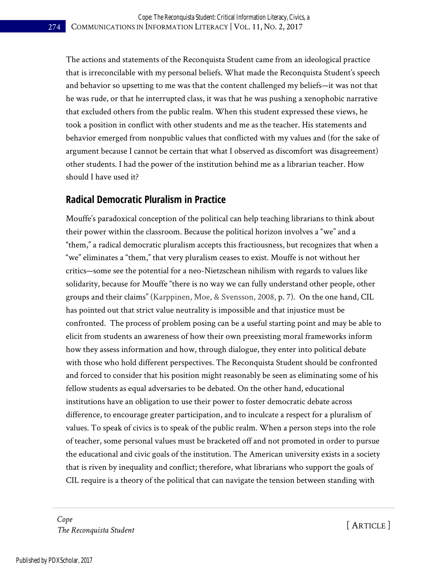The actions and statements of the Reconquista Student came from an ideological practice that is irreconcilable with my personal beliefs. What made the Reconquista Student's speech and behavior so upsetting to me was that the content challenged my beliefs—it was not that he was rude, or that he interrupted class, it was that he was pushing a xenophobic narrative that excluded others from the public realm. When this student expressed these views, he took a position in conflict with other students and me as the teacher. His statements and behavior emerged from nonpublic values that conflicted with my values and (for the sake of argument because I cannot be certain that what I observed as discomfort was disagreement) other students. I had the power of the institution behind me as a librarian teacher. How should I have used it?

#### **Radical Democratic Pluralism in Practice**

Mouffe's paradoxical conception of the political can help teaching librarians to think about their power within the classroom. Because the political horizon involves a "we" and a "them," a radical democratic pluralism accepts this fractiousness, but recognizes that when a "we" eliminates a "them," that very pluralism ceases to exist. Mouffe is not without her critics—some see the potential for a neo-Nietzschean nihilism with regards to values like solidarity, because for Mouffe "there is no way we can fully understand other people, other groups and their claims" (Karppinen, Moe, & Svensson, 2008, p. 7). On the one hand, CIL has pointed out that strict value neutrality is impossible and that injustice must be confronted. The process of problem posing can be a useful starting point and may be able to elicit from students an awareness of how their own preexisting moral frameworks inform how they assess information and how, through dialogue, they enter into political debate with those who hold different perspectives. The Reconquista Student should be confronted and forced to consider that his position might reasonably be seen as eliminating some of his fellow students as equal adversaries to be debated. On the other hand, educational institutions have an obligation to use their power to foster democratic debate across difference, to encourage greater participation, and to inculcate a respect for a pluralism of values. To speak of civics is to speak of the public realm. When a person steps into the role of teacher, some personal values must be bracketed off and not promoted in order to pursue the educational and civic goals of the institution. The American university exists in a society that is riven by inequality and conflict; therefore, what librarians who support the goals of CIL require is a theory of the political that can navigate the tension between standing with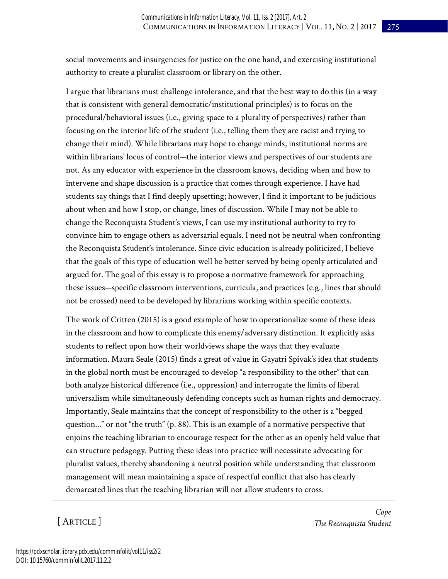social movements and insurgencies for justice on the one hand, and exercising institutional authority to create a pluralist classroom or library on the other.

I argue that librarians must challenge intolerance, and that the best way to do this (in a way that is consistent with general democratic/institutional principles) is to focus on the procedural/behavioral issues (i.e., giving space to a plurality of perspectives) rather than focusing on the interior life of the student (i.e., telling them they are racist and trying to change their mind). While librarians may hope to change minds, institutional norms are within librarians' locus of control—the interior views and perspectives of our students are not. As any educator with experience in the classroom knows, deciding when and how to intervene and shape discussion is a practice that comes through experience. I have had students say things that I find deeply upsetting; however, I find it important to be judicious about when and how I stop, or change, lines of discussion. While I may not be able to change the Reconquista Student's views, I can use my institutional authority to try to convince him to engage others as adversarial equals. I need not be neutral when confronting the Reconquista Student's intolerance. Since civic education is already politicized, I believe that the goals of this type of education well be better served by being openly articulated and argued for. The goal of this essay is to propose a normative framework for approaching these issues—specific classroom interventions, curricula, and practices (e.g., lines that should not be crossed) need to be developed by librarians working within specific contexts.

The work of Critten (2015) is a good example of how to operationalize some of these ideas in the classroom and how to complicate this enemy/adversary distinction. It explicitly asks students to reflect upon how their worldviews shape the ways that they evaluate information. Maura Seale (2015) finds a great of value in Gayatri Spivak's idea that students in the global north must be encouraged to develop "a responsibility to the other" that can both analyze historical difference (i.e., oppression) and interrogate the limits of liberal universalism while simultaneously defending concepts such as human rights and democracy. Importantly, Seale maintains that the concept of responsibility to the other is a "begged question..." or not "the truth" (p. 88). This is an example of a normative perspective that enjoins the teaching librarian to encourage respect for the other as an openly held value that can structure pedagogy. Putting these ideas into practice will necessitate advocating for pluralist values, thereby abandoning a neutral position while understanding that classroom management will mean maintaining a space of respectful conflict that also has clearly demarcated lines that the teaching librarian will not allow students to cross.

[ ARTICLE ]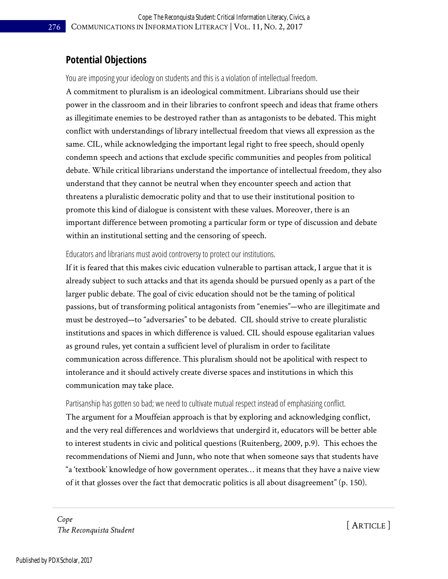#### **Potential Objections**

You are imposing your ideology on students and this is a violation of intellectual freedom.

A commitment to pluralism is an ideological commitment. Librarians should use their power in the classroom and in their libraries to confront speech and ideas that frame others as illegitimate enemies to be destroyed rather than as antagonists to be debated. This might conflict with understandings of library intellectual freedom that views all expression as the same. CIL, while acknowledging the important legal right to free speech, should openly condemn speech and actions that exclude specific communities and peoples from political debate. While critical librarians understand the importance of intellectual freedom, they also understand that they cannot be neutral when they encounter speech and action that threatens a pluralistic democratic polity and that to use their institutional position to promote this kind of dialogue is consistent with these values. Moreover, there is an important difference between promoting a particular form or type of discussion and debate within an institutional setting and the censoring of speech.

Educators and librarians must avoid controversy to protect our institutions.

If it is feared that this makes civic education vulnerable to partisan attack, I argue that it is already subject to such attacks and that its agenda should be pursued openly as a part of the larger public debate. The goal of civic education should not be the taming of political passions, but of transforming political antagonists from "enemies"—who are illegitimate and must be destroyed—to "adversaries" to be debated. CIL should strive to create pluralistic institutions and spaces in which difference is valued. CIL should espouse egalitarian values as ground rules, yet contain a sufficient level of pluralism in order to facilitate communication across difference. This pluralism should not be apolitical with respect to intolerance and it should actively create diverse spaces and institutions in which this communication may take place.

Partisanship has gotten so bad; we need to cultivate mutual respect instead of emphasizing conflict.

The argument for a Mouffeian approach is that by exploring and acknowledging conflict, and the very real differences and worldviews that undergird it, educators will be better able to interest students in civic and political questions (Ruitenberg, 2009, p.9). This echoes the recommendations of Niemi and Junn, who note that when someone says that students have "a 'textbook' knowledge of how government operates… it means that they have a naive view of it that glosses over the fact that democratic politics is all about disagreement" (p. 150).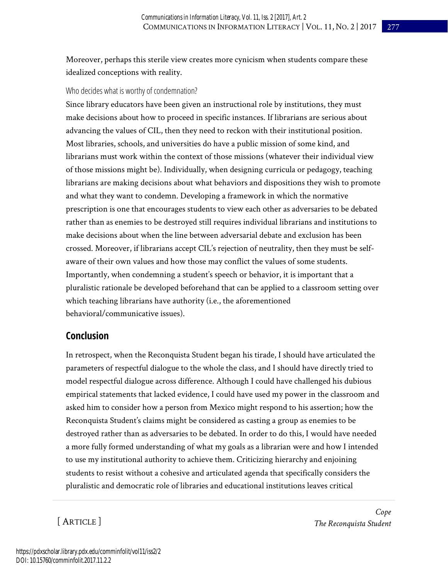Moreover, perhaps this sterile view creates more cynicism when students compare these idealized conceptions with reality.

#### Who decides what is worthy of condemnation?

Since library educators have been given an instructional role by institutions, they must make decisions about how to proceed in specific instances. If librarians are serious about advancing the values of CIL, then they need to reckon with their institutional position. Most libraries, schools, and universities do have a public mission of some kind, and librarians must work within the context of those missions (whatever their individual view of those missions might be). Individually, when designing curricula or pedagogy, teaching librarians are making decisions about what behaviors and dispositions they wish to promote and what they want to condemn. Developing a framework in which the normative prescription is one that encourages students to view each other as adversaries to be debated rather than as enemies to be destroyed still requires individual librarians and institutions to make decisions about when the line between adversarial debate and exclusion has been crossed. Moreover, if librarians accept CIL's rejection of neutrality, then they must be selfaware of their own values and how those may conflict the values of some students. Importantly, when condemning a student's speech or behavior, it is important that a pluralistic rationale be developed beforehand that can be applied to a classroom setting over which teaching librarians have authority (i.e., the aforementioned behavioral/communicative issues).

#### **Conclusion**

In retrospect, when the Reconquista Student began his tirade, I should have articulated the parameters of respectful dialogue to the whole the class, and I should have directly tried to model respectful dialogue across difference. Although I could have challenged his dubious empirical statements that lacked evidence, I could have used my power in the classroom and asked him to consider how a person from Mexico might respond to his assertion; how the Reconquista Student's claims might be considered as casting a group as enemies to be destroyed rather than as adversaries to be debated. In order to do this, I would have needed a more fully formed understanding of what my goals as a librarian were and how I intended to use my institutional authority to achieve them. Criticizing hierarchy and enjoining students to resist without a cohesive and articulated agenda that specifically considers the pluralistic and democratic role of libraries and educational institutions leaves critical

[ ARTICLE ]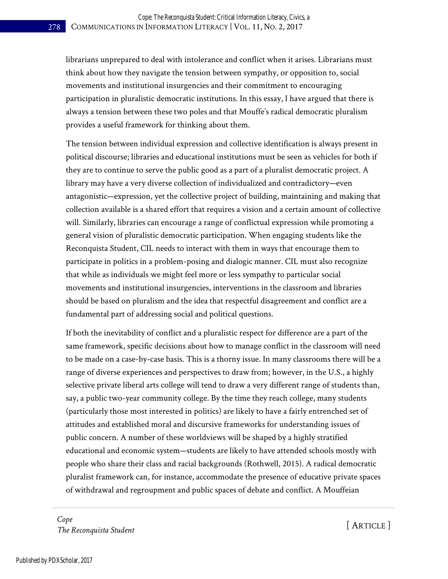librarians unprepared to deal with intolerance and conflict when it arises. Librarians must think about how they navigate the tension between sympathy, or opposition to, social movements and institutional insurgencies and their commitment to encouraging participation in pluralistic democratic institutions. In this essay, I have argued that there is always a tension between these two poles and that Mouffe's radical democratic pluralism provides a useful framework for thinking about them.

The tension between individual expression and collective identification is always present in political discourse; libraries and educational institutions must be seen as vehicles for both if they are to continue to serve the public good as a part of a pluralist democratic project. A library may have a very diverse collection of individualized and contradictory—even antagonistic—expression, yet the collective project of building, maintaining and making that collection available is a shared effort that requires a vision and a certain amount of collective will. Similarly, libraries can encourage a range of conflictual expression while promoting a general vision of pluralistic democratic participation. When engaging students like the Reconquista Student, CIL needs to interact with them in ways that encourage them to participate in politics in a problem-posing and dialogic manner. CIL must also recognize that while as individuals we might feel more or less sympathy to particular social movements and institutional insurgencies, interventions in the classroom and libraries should be based on pluralism and the idea that respectful disagreement and conflict are a fundamental part of addressing social and political questions.

If both the inevitability of conflict and a pluralistic respect for difference are a part of the same framework, specific decisions about how to manage conflict in the classroom will need to be made on a case-by-case basis. This is a thorny issue. In many classrooms there will be a range of diverse experiences and perspectives to draw from; however, in the U.S., a highly selective private liberal arts college will tend to draw a very different range of students than, say, a public two-year community college. By the time they reach college, many students (particularly those most interested in politics) are likely to have a fairly entrenched set of attitudes and established moral and discursive frameworks for understanding issues of public concern. A number of these worldviews will be shaped by a highly stratified educational and economic system—students are likely to have attended schools mostly with people who share their class and racial backgrounds (Rothwell, 2015). A radical democratic pluralist framework can, for instance, accommodate the presence of educative private spaces of withdrawal and regroupment and public spaces of debate and conflict. A Mouffeian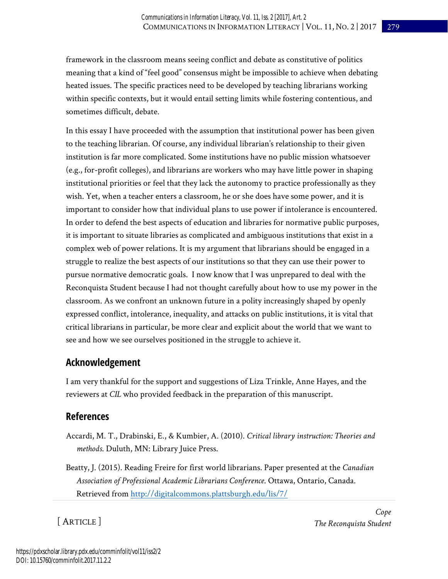framework in the classroom means seeing conflict and debate as constitutive of politics meaning that a kind of "feel good" consensus might be impossible to achieve when debating heated issues. The specific practices need to be developed by teaching librarians working within specific contexts, but it would entail setting limits while fostering contentious, and sometimes difficult, debate.

In this essay I have proceeded with the assumption that institutional power has been given to the teaching librarian. Of course, any individual librarian's relationship to their given institution is far more complicated. Some institutions have no public mission whatsoever (e.g., for-profit colleges), and librarians are workers who may have little power in shaping institutional priorities or feel that they lack the autonomy to practice professionally as they wish. Yet, when a teacher enters a classroom, he or she does have some power, and it is important to consider how that individual plans to use power if intolerance is encountered. In order to defend the best aspects of education and libraries for normative public purposes, it is important to situate libraries as complicated and ambiguous institutions that exist in a complex web of power relations. It is my argument that librarians should be engaged in a struggle to realize the best aspects of our institutions so that they can use their power to pursue normative democratic goals. I now know that I was unprepared to deal with the Reconquista Student because I had not thought carefully about how to use my power in the classroom. As we confront an unknown future in a polity increasingly shaped by openly expressed conflict, intolerance, inequality, and attacks on public institutions, it is vital that critical librarians in particular, be more clear and explicit about the world that we want to see and how we see ourselves positioned in the struggle to achieve it.

### **Acknowledgement**

I am very thankful for the support and suggestions of Liza Trinkle, Anne Hayes, and the reviewers at *CIL* who provided feedback in the preparation of this manuscript.

### **References**

- Accardi, M. T., Drabinski, E., & Kumbier, A. (2010). *Critical library instruction: Theories and methods*. Duluth, MN: Library Juice Press.
- Beatty, J. (2015). Reading Freire for first world librarians. Paper presented at the *Canadian Association of Professional Academic Librarians Conference*. Ottawa, Ontario, Canada. Retrieved from <http://digitalcommons.plattsburgh.edu/lis/7/>

[ ARTICLE ]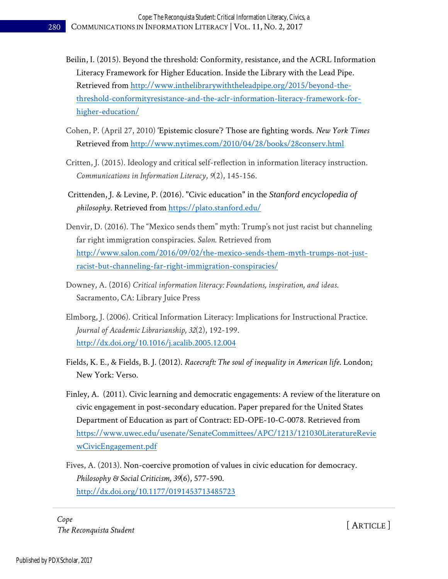- Beilin, I. (2015). Beyond the threshold: Conformity, resistance, and the ACRL Information Literacy Framework for Higher Education. Inside the Library with the Lead Pipe. Retrieved from [http://www.inthelibrarywiththeleadpipe.org/2015/beyond-the](http://www.inthelibrarywiththeleadpipe.org/2015/beyond-the-threshold-conformityresistance-and-the-aclr-information-literacy-framework-for-higher-education/)[threshold-conformityresistance-and-the-aclr-information-literacy-framework-for](http://www.inthelibrarywiththeleadpipe.org/2015/beyond-the-threshold-conformityresistance-and-the-aclr-information-literacy-framework-for-higher-education/)[higher-education/](http://www.inthelibrarywiththeleadpipe.org/2015/beyond-the-threshold-conformityresistance-and-the-aclr-information-literacy-framework-for-higher-education/)
- Cohen, P. (April 27, 2010) 'Epistemic closure'? Those are fighting words. *New York Times* Retrieved from<http://www.nytimes.com/2010/04/28/books/28conserv.html>
- Critten, J. (2015). Ideology and critical self-reflection in information literacy instruction. *Communications in Information Literacy*, *9*(2), 145-156.
- [Crittenden, J. & Levine, P. \(2016\). "Civic education"](about:blank) in the *Stanford encyclopedia of [ph](about:blank)ilosophy*. Retrieved from<https://plato.stanford.edu/>
- Denvir, D. (2016). The "Mexico sends them" myth: Trump's not just racist but channeling far right immigration conspiracies. *Salon*. Retrieved from [http://www.salon.com/2016/09/02/the-mexico-sends-them-myth-trumps-not-just](http://www.salon.com/2016/09/02/the-mexico-sends-them-myth-trumps-not-just-racist-but-channeling-far-right-immigration-conspiracies/)[racist-but-channeling-far-right-immigration-conspiracies/](http://www.salon.com/2016/09/02/the-mexico-sends-them-myth-trumps-not-just-racist-but-channeling-far-right-immigration-conspiracies/)
- Downey, A. (2016) *Critical information literacy: Foundations, inspiration, and ideas*. Sacramento, CA: Library Juice Press
- Elmborg, J. (2006). Critical Information Literacy: Implications for Instructional Practice. *Journal of Academic Librarianship, 32*(2), 192-199. <http://dx.doi.org/10.1016/j.acalib.2005.12.004>
- Fields, K. E., & Fields, B. J. (2012). *Racecraft: The soul of inequality in American life*. London; New York: Verso.
- Finley, A. (2011). Civic learning and democratic engagements: A review of the literature on civic engagement in post-secondary education. Paper prepared for the United States Department of Education as part of Contract: ED-OPE-10-C-0078. Retrieved from [https://www.uwec.edu/usenate/SenateCommittees/APC/1213/121030LiteratureRevie](https://www.uwec.edu/usenate/SenateCommittees/APC/1213/121030LiteratureReviewCivicEngagement.pdf) [wCivicEngagement.pdf](https://www.uwec.edu/usenate/SenateCommittees/APC/1213/121030LiteratureReviewCivicEngagement.pdf)
- Fives, A. (2013). Non-coercive promotion of values in civic education for democracy. *Philosophy & Social Criticism, 39*(6), 577-590. <http://dx.doi.org/10.1177/0191453713485723>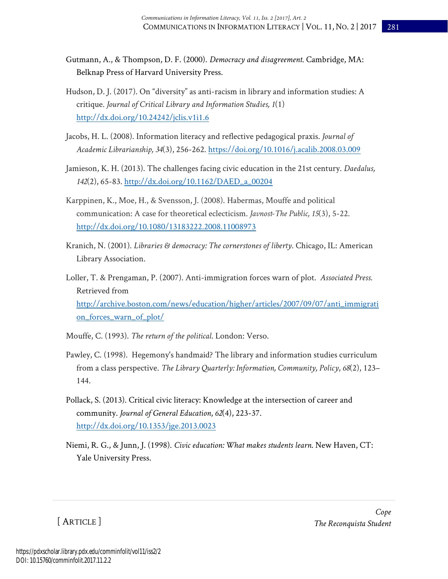- Gutmann, A., & Thompson, D. F. (2000). *Democracy and disagreement*. Cambridge, MA: Belknap Press of Harvard University Press.
- Hudson, D. J. (2017). On "diversity" as anti-racism in library and information studies: A critique. *Journal of Critical Library and Information Studies, 1*(1) <http://dx.doi.org/10.24242/jclis.v1i1.6>
- Jacobs, H. L. (2008). Information literacy and reflective pedagogical praxis. *Journal of Academic Librarianship, 34*(3), 256-262[. https://doi.org/10.1016/j.acalib.2008.03.009](https://doi.org/10.1016/j.acalib.2008.03.009)
- Jamieson, K. H. (2013). The challenges facing civic education in the 21st century. *Daedalus, 142*(2), 65-83. [http://dx.doi.org/10.1162/DAED\\_a\\_00204](http://dx.doi.org/10.1162/DAED_a_00204)
- Karppinen, K., Moe, H., & Svensson, J. (2008). Habermas, Mouffe and political communication: A case for theoretical eclecticism. *Javnost-The Public, 15*(3), 5-22. <http://dx.doi.org/10.1080/13183222.2008.11008973>
- Kranich, N. (2001). *Libraries & democracy: The cornerstones of liberty*. Chicago, IL: American Library Association.
- Loller, T. & Prengaman, P. (2007). Anti-immigration forces warn of plot. *Associated Press.* Retrieved from [http://archive.boston.com/news/education/higher/articles/2007/09/07/anti\\_immigrati](http://archive.boston.com/news/education/higher/articles/2007/09/07/anti_immigration_forces_warn_of_plot/) [on\\_forces\\_warn\\_of\\_plot/](http://archive.boston.com/news/education/higher/articles/2007/09/07/anti_immigration_forces_warn_of_plot/)
- Mouffe, C. (1993). *The return of the political*. London: Verso.
- Pawley, C. (1998). Hegemony's handmaid? The library and information studies curriculum from a class perspective. *The Library Quarterly: Information, Community, Policy*, *68*(2), 123– 144.
- Pollack, S. (2013). Critical civic literacy: Knowledge at the intersection of career and community. *Journal of General Education*, *62*(4), 223-37. <http://dx.doi.org/10.1353/jge.2013.0023>
- Niemi, R. G., & Junn, J. (1998). *Civic education: What makes students learn*. New Haven, CT: Yale University Press.

[ ARTICLE ]